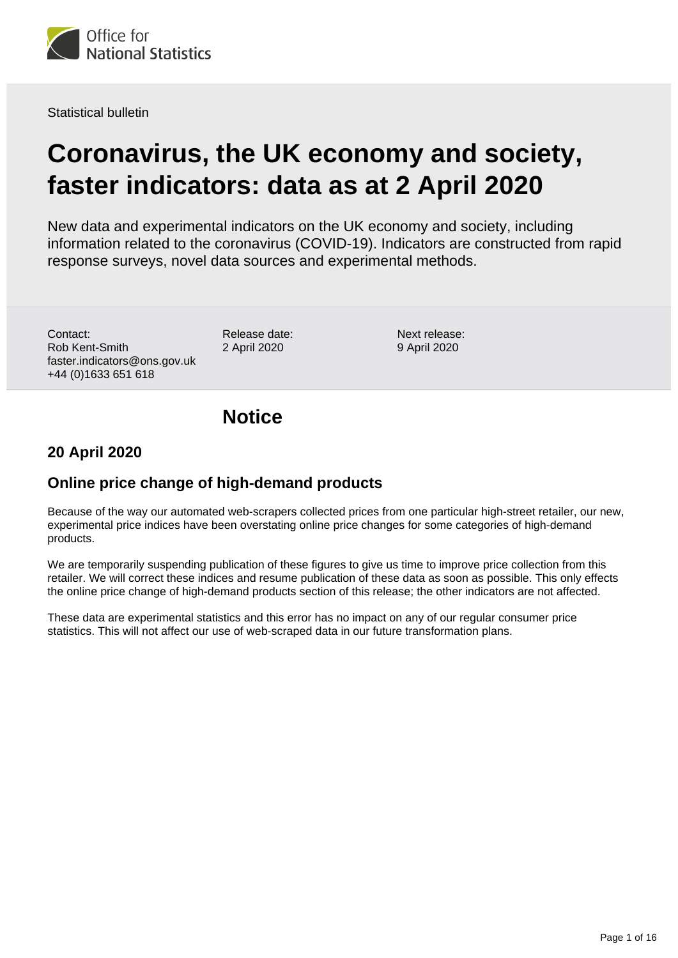

Statistical bulletin

# **Coronavirus, the UK economy and society, faster indicators: data as at 2 April 2020**

New data and experimental indicators on the UK economy and society, including information related to the coronavirus (COVID-19). Indicators are constructed from rapid response surveys, novel data sources and experimental methods.

Contact: Rob Kent-Smith faster.indicators@ons.gov.uk +44 (0)1633 651 618

Release date: 2 April 2020

Next release: 9 April 2020

# **Notice**

## **20 April 2020**

## **Online price change of high-demand products**

Because of the way our automated web-scrapers collected prices from one particular high-street retailer, our new, experimental price indices have been overstating online price changes for some categories of high-demand products.

We are temporarily suspending publication of these figures to give us time to improve price collection from this retailer. We will correct these indices and resume publication of these data as soon as possible. This only effects the online price change of high-demand products section of this release; the other indicators are not affected.

These data are experimental statistics and this error has no impact on any of our regular consumer price statistics. This will not affect our use of web-scraped data in our future transformation plans.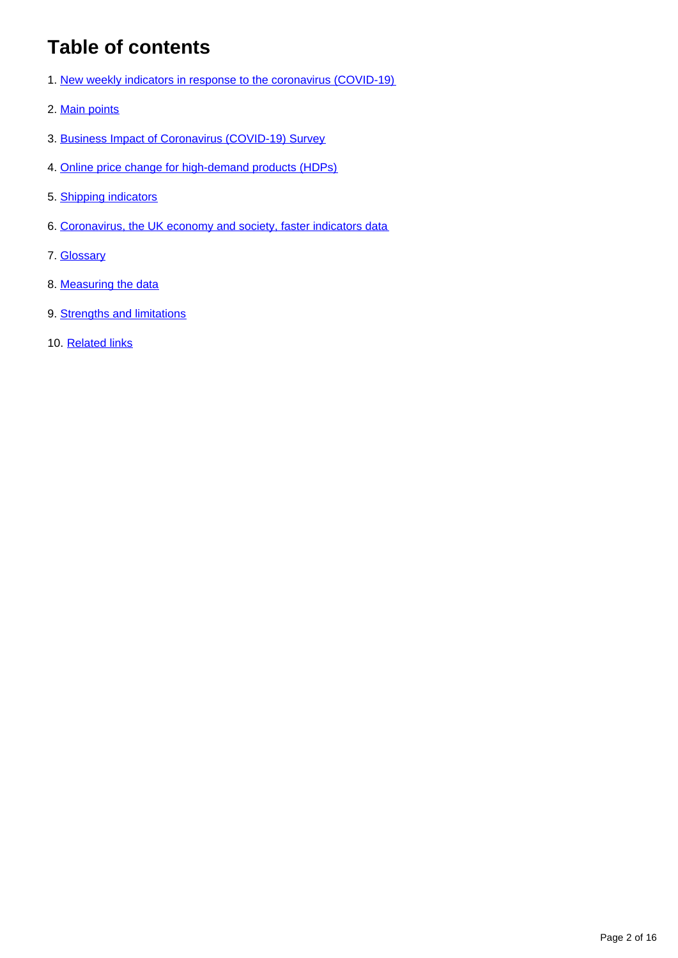# **Table of contents**

- 1. [New weekly indicators in response to the coronavirus \(COVID-19\)](#page-2-0)
- 2. [Main points](#page-2-1)
- 3. [Business Impact of Coronavirus \(COVID-19\) Survey](#page-2-2)
- 4. [Online price change for high-demand products \(HDPs\)](#page-6-0)
- 5. [Shipping indicators](#page-9-0)
- 6. [Coronavirus, the UK economy and society, faster indicators data](#page-12-0)
- 7. [Glossary](#page-12-1)
- 8. [Measuring the data](#page-13-0)
- 9. [Strengths and limitations](#page-14-0)
- 10. [Related links](#page-15-0)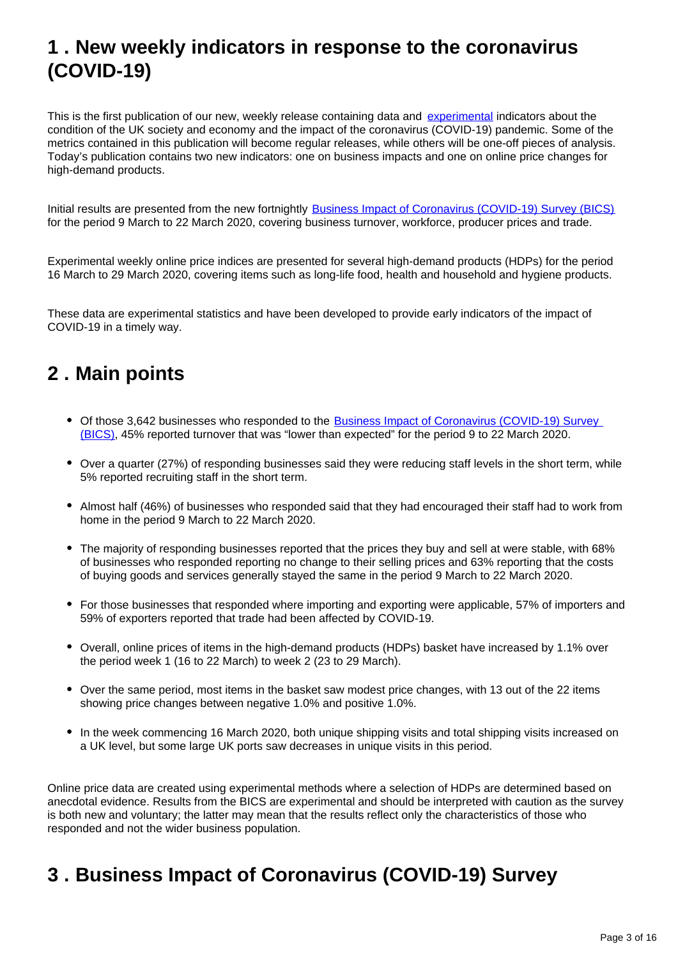# <span id="page-2-0"></span>**1 . New weekly indicators in response to the coronavirus (COVID-19)**

This is the first publication of our new, weekly release containing data and [experimental](https://www.ons.gov.uk/methodology/methodologytopicsandstatisticalconcepts/guidetoexperimentalstatistics) indicators about the condition of the UK society and economy and the impact of the coronavirus (COVID-19) pandemic. Some of the metrics contained in this publication will become regular releases, while others will be one-off pieces of analysis. Today's publication contains two new indicators: one on business impacts and one on online price changes for high-demand products.

Initial results are presented from the new fortnightly [Business Impact of Coronavirus \(COVID-19\) Survey \(BICS\)](https://www.ons.gov.uk/surveys/informationforbusinesses/businesssurveys/businessimpactofcoronaviruscovid19survey) for the period 9 March to 22 March 2020, covering business turnover, workforce, producer prices and trade.

Experimental weekly online price indices are presented for several high-demand products (HDPs) for the period 16 March to 29 March 2020, covering items such as long-life food, health and household and hygiene products.

These data are experimental statistics and have been developed to provide early indicators of the impact of COVID-19 in a timely way.

# <span id="page-2-1"></span>**2 . Main points**

- Of those 3,642 businesses who responded to the [Business Impact of Coronavirus \(COVID-19\) Survey](https://www.ons.gov.uk/surveys/informationforbusinesses/businesssurveys/businessimpactofcoronaviruscovid19survey)  [\(BICS\),](https://www.ons.gov.uk/surveys/informationforbusinesses/businesssurveys/businessimpactofcoronaviruscovid19survey) 45% reported turnover that was "lower than expected" for the period 9 to 22 March 2020.
- Over a quarter (27%) of responding businesses said they were reducing staff levels in the short term, while 5% reported recruiting staff in the short term.
- Almost half (46%) of businesses who responded said that they had encouraged their staff had to work from home in the period 9 March to 22 March 2020.
- The majority of responding businesses reported that the prices they buy and sell at were stable, with 68% of businesses who responded reporting no change to their selling prices and 63% reporting that the costs of buying goods and services generally stayed the same in the period 9 March to 22 March 2020.
- For those businesses that responded where importing and exporting were applicable, 57% of importers and 59% of exporters reported that trade had been affected by COVID-19.
- Overall, online prices of items in the high-demand products (HDPs) basket have increased by 1.1% over the period week 1 (16 to 22 March) to week 2 (23 to 29 March).
- Over the same period, most items in the basket saw modest price changes, with 13 out of the 22 items showing price changes between negative 1.0% and positive 1.0%.
- In the week commencing 16 March 2020, both unique shipping visits and total shipping visits increased on a UK level, but some large UK ports saw decreases in unique visits in this period.

Online price data are created using experimental methods where a selection of HDPs are determined based on anecdotal evidence. Results from the BICS are experimental and should be interpreted with caution as the survey is both new and voluntary; the latter may mean that the results reflect only the characteristics of those who responded and not the wider business population.

# <span id="page-2-2"></span>**3 . Business Impact of Coronavirus (COVID-19) Survey**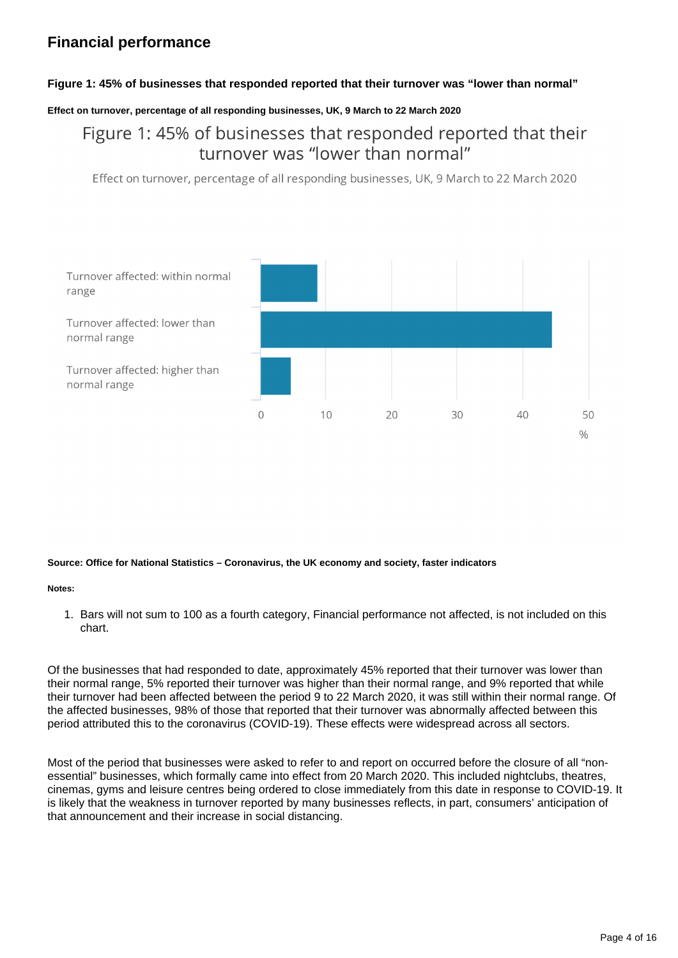## **Financial performance**

### **Figure 1: 45% of businesses that responded reported that their turnover was "lower than normal"**

### **Effect on turnover, percentage of all responding businesses, UK, 9 March to 22 March 2020**

## Figure 1: 45% of businesses that responded reported that their turnover was "lower than normal"

Effect on turnover, percentage of all responding businesses, UK, 9 March to 22 March 2020



#### **Source: Office for National Statistics – Coronavirus, the UK economy and society, faster indicators**

#### **Notes:**

1. Bars will not sum to 100 as a fourth category, Financial performance not affected, is not included on this chart.

Of the businesses that had responded to date, approximately 45% reported that their turnover was lower than their normal range, 5% reported their turnover was higher than their normal range, and 9% reported that while their turnover had been affected between the period 9 to 22 March 2020, it was still within their normal range. Of the affected businesses, 98% of those that reported that their turnover was abnormally affected between this period attributed this to the coronavirus (COVID-19). These effects were widespread across all sectors.

Most of the period that businesses were asked to refer to and report on occurred before the closure of all "nonessential" businesses, which formally came into effect from 20 March 2020. This included nightclubs, theatres, cinemas, gyms and leisure centres being ordered to close immediately from this date in response to COVID-19. It is likely that the weakness in turnover reported by many businesses reflects, in part, consumers' anticipation of that announcement and their increase in social distancing.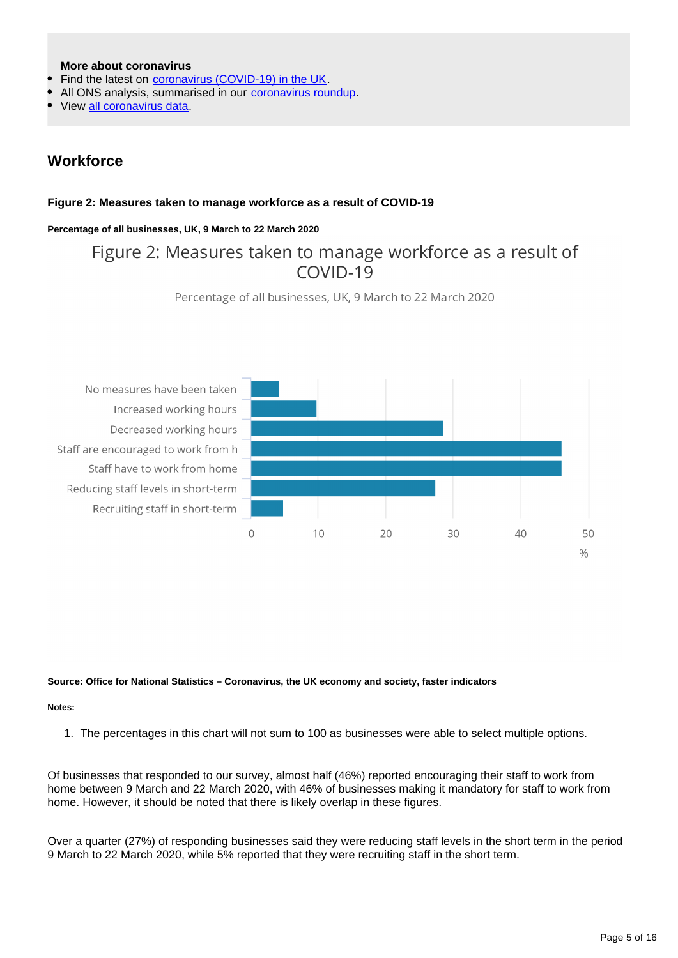### **More about coronavirus**

- Find the latest on [coronavirus \(COVID-19\) in the UK](https://www.ons.gov.uk/peoplepopulationandcommunity/healthandsocialcare/conditionsanddiseases).
- All ONS analysis, summarised in our [coronavirus roundup.](https://www.ons.gov.uk/peoplepopulationandcommunity/healthandsocialcare/conditionsanddiseases/articles/coronaviruscovid19roundup/2020-03-26)
- View [all coronavirus data.](https://www.ons.gov.uk/peoplepopulationandcommunity/healthandsocialcare/conditionsanddiseases/datalist)

### **Workforce**

### **Figure 2: Measures taken to manage workforce as a result of COVID-19**

### **Percentage of all businesses, UK, 9 March to 22 March 2020**

## Figure 2: Measures taken to manage workforce as a result of  $COVID-19$





#### **Source: Office for National Statistics – Coronavirus, the UK economy and society, faster indicators**

#### **Notes:**

1. The percentages in this chart will not sum to 100 as businesses were able to select multiple options.

Of businesses that responded to our survey, almost half (46%) reported encouraging their staff to work from home between 9 March and 22 March 2020, with 46% of businesses making it mandatory for staff to work from home. However, it should be noted that there is likely overlap in these figures.

Over a quarter (27%) of responding businesses said they were reducing staff levels in the short term in the period 9 March to 22 March 2020, while 5% reported that they were recruiting staff in the short term.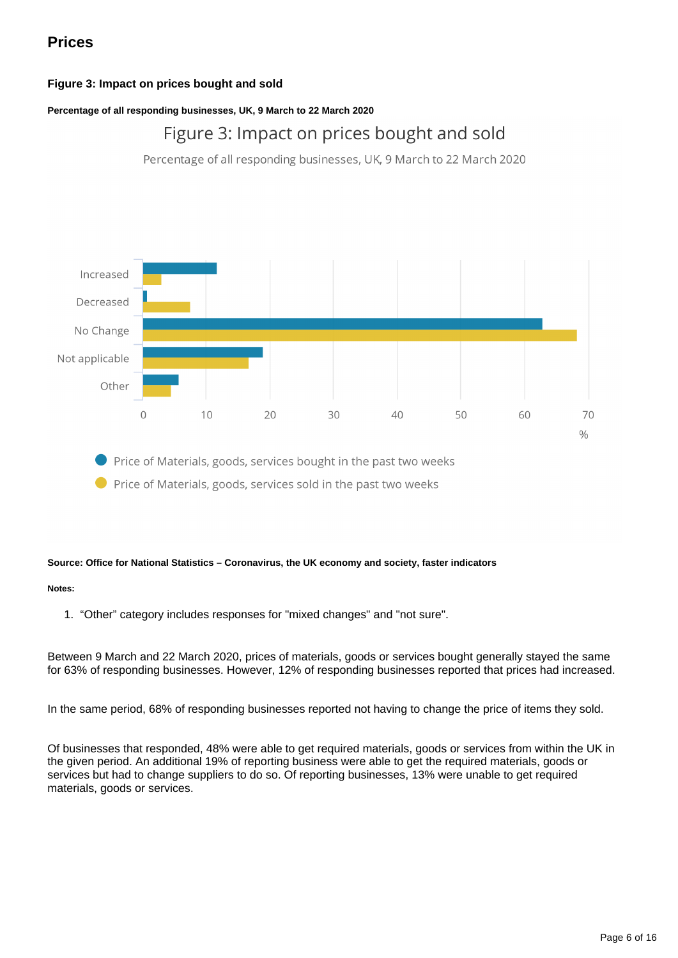## **Prices**

### **Figure 3: Impact on prices bought and sold**

### **Percentage of all responding businesses, UK, 9 March to 22 March 2020**

## Figure 3: Impact on prices bought and sold

Percentage of all responding businesses, UK, 9 March to 22 March 2020



Price of Materials, goods, services bought in the past two weeks

Price of Materials, goods, services sold in the past two weeks

#### **Source: Office for National Statistics – Coronavirus, the UK economy and society, faster indicators**

#### **Notes:**

1. "Other" category includes responses for "mixed changes" and "not sure".

Between 9 March and 22 March 2020, prices of materials, goods or services bought generally stayed the same for 63% of responding businesses. However, 12% of responding businesses reported that prices had increased.

In the same period, 68% of responding businesses reported not having to change the price of items they sold.

Of businesses that responded, 48% were able to get required materials, goods or services from within the UK in the given period. An additional 19% of reporting business were able to get the required materials, goods or services but had to change suppliers to do so. Of reporting businesses, 13% were unable to get required materials, goods or services.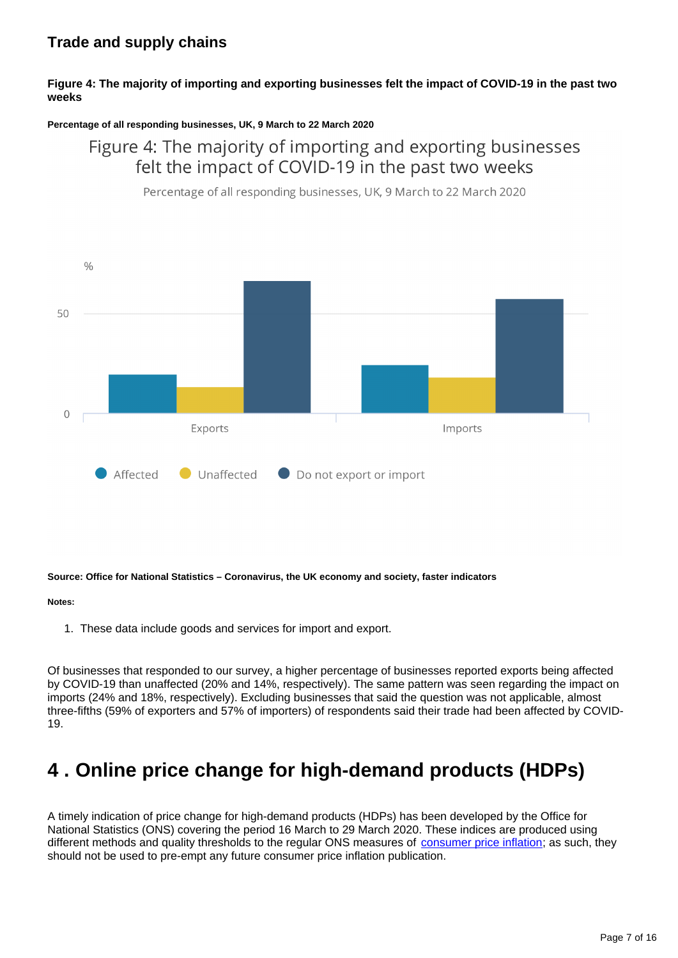### **Trade and supply chains**

### **Figure 4: The majority of importing and exporting businesses felt the impact of COVID-19 in the past two weeks**

### **Percentage of all responding businesses, UK, 9 March to 22 March 2020**

## Figure 4: The majority of importing and exporting businesses felt the impact of COVID-19 in the past two weeks

Percentage of all responding businesses, UK, 9 March to 22 March 2020



#### **Source: Office for National Statistics – Coronavirus, the UK economy and society, faster indicators**

#### **Notes:**

1. These data include goods and services for import and export.

Of businesses that responded to our survey, a higher percentage of businesses reported exports being affected by COVID-19 than unaffected (20% and 14%, respectively). The same pattern was seen regarding the impact on imports (24% and 18%, respectively). Excluding businesses that said the question was not applicable, almost three-fifths (59% of exporters and 57% of importers) of respondents said their trade had been affected by COVID-19.

# <span id="page-6-0"></span>**4 . Online price change for high-demand products (HDPs)**

A timely indication of price change for high-demand products (HDPs) has been developed by the Office for National Statistics (ONS) covering the period 16 March to 29 March 2020. These indices are produced using different methods and quality thresholds to the regular ONS measures of [consumer price inflation;](https://www.ons.gov.uk/economy/inflationandpriceindices/bulletins/consumerpriceinflation/february2020) as such, they should not be used to pre-empt any future consumer price inflation publication.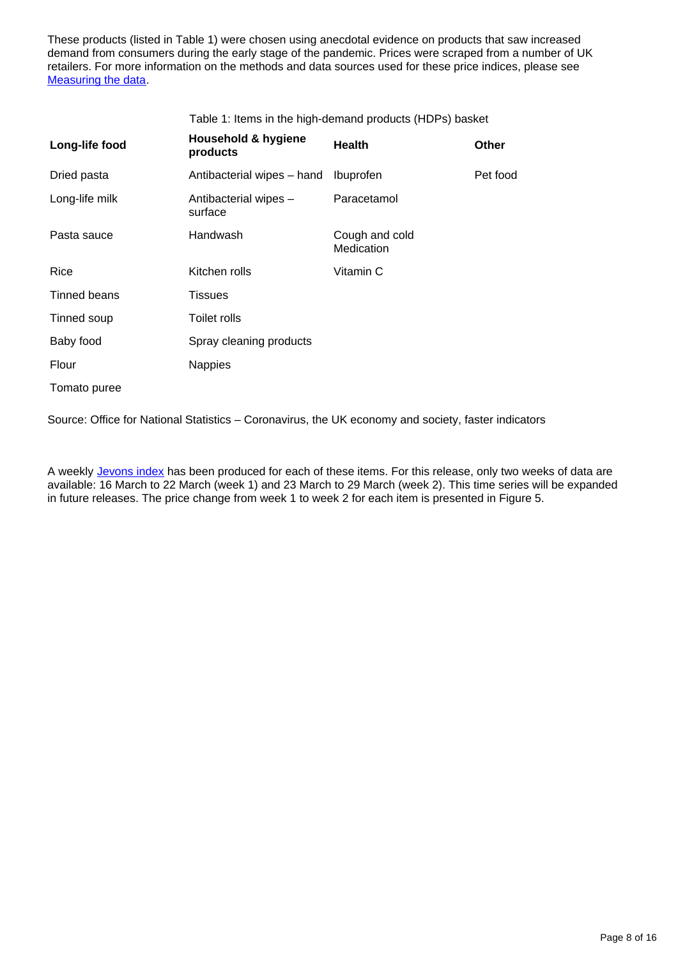These products (listed in Table 1) were chosen using anecdotal evidence on products that saw increased demand from consumers during the early stage of the pandemic. Prices were scraped from a number of UK retailers. For more information on the methods and data sources used for these price indices, please see **[Measuring the data](https://www.ons.gov.uk/peoplepopulationandcommunity/healthandsocialcare/conditionsanddiseases/bulletins/coronavirustheukeconomyandsocietyfasterindicators/dataasat2april2020#measuring-the-data).** 

Table 1: Items in the high-demand products (HDPs) basket

| Long-life food | Household & hygiene<br>products  | <b>Health</b>                | Other    |
|----------------|----------------------------------|------------------------------|----------|
| Dried pasta    | Antibacterial wipes - hand       | Ibuprofen                    | Pet food |
| Long-life milk | Antibacterial wipes -<br>surface | Paracetamol                  |          |
| Pasta sauce    | Handwash                         | Cough and cold<br>Medication |          |
| Rice           | Kitchen rolls                    | Vitamin C                    |          |
| Tinned beans   | <b>Tissues</b>                   |                              |          |
| Tinned soup    | Toilet rolls                     |                              |          |
| Baby food      | Spray cleaning products          |                              |          |
| Flour          | <b>Nappies</b>                   |                              |          |
| Tomato puree   |                                  |                              |          |

Source: Office for National Statistics – Coronavirus, the UK economy and society, faster indicators

A weekly [Jevons index](https://www.statisticsauthority.gov.uk/wp-content/uploads/2016/04/Elementary-aggregate-formula-description-action-2.pdf) has been produced for each of these items. For this release, only two weeks of data are available: 16 March to 22 March (week 1) and 23 March to 29 March (week 2). This time series will be expanded in future releases. The price change from week 1 to week 2 for each item is presented in Figure 5.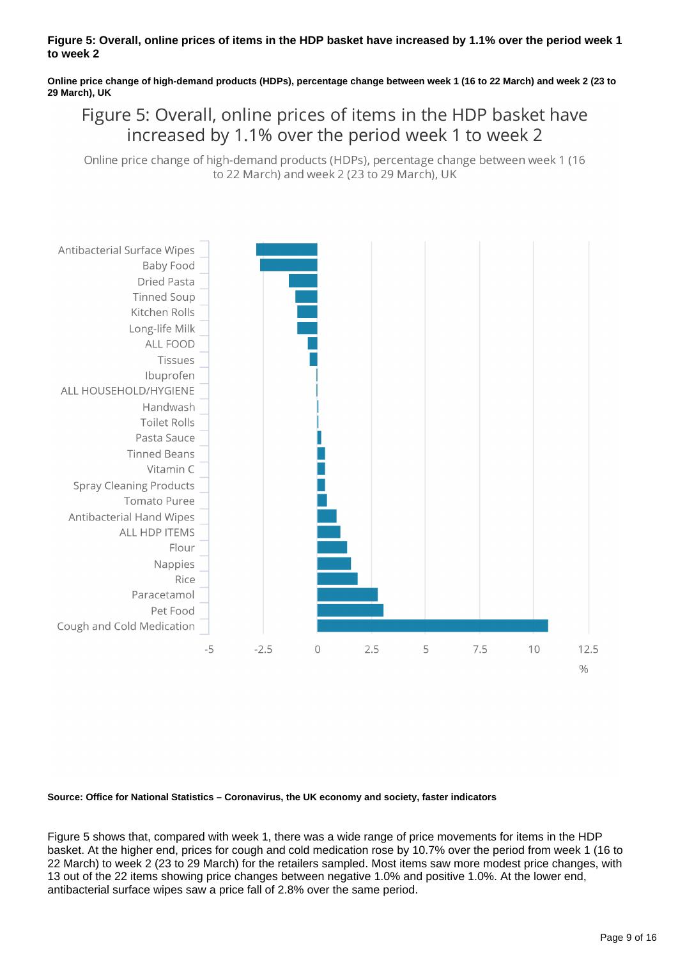### **Figure 5: Overall, online prices of items in the HDP basket have increased by 1.1% over the period week 1 to week 2**

**Online price change of high-demand products (HDPs), percentage change between week 1 (16 to 22 March) and week 2 (23 to 29 March), UK**

Figure 5: Overall, online prices of items in the HDP basket have increased by 1.1% over the period week 1 to week 2

Online price change of high-demand products (HDPs), percentage change between week 1 (16 to 22 March) and week 2 (23 to 29 March), UK



**Source: Office for National Statistics – Coronavirus, the UK economy and society, faster indicators**

Figure 5 shows that, compared with week 1, there was a wide range of price movements for items in the HDP basket. At the higher end, prices for cough and cold medication rose by 10.7% over the period from week 1 (16 to 22 March) to week 2 (23 to 29 March) for the retailers sampled. Most items saw more modest price changes, with 13 out of the 22 items showing price changes between negative 1.0% and positive 1.0%. At the lower end, antibacterial surface wipes saw a price fall of 2.8% over the same period.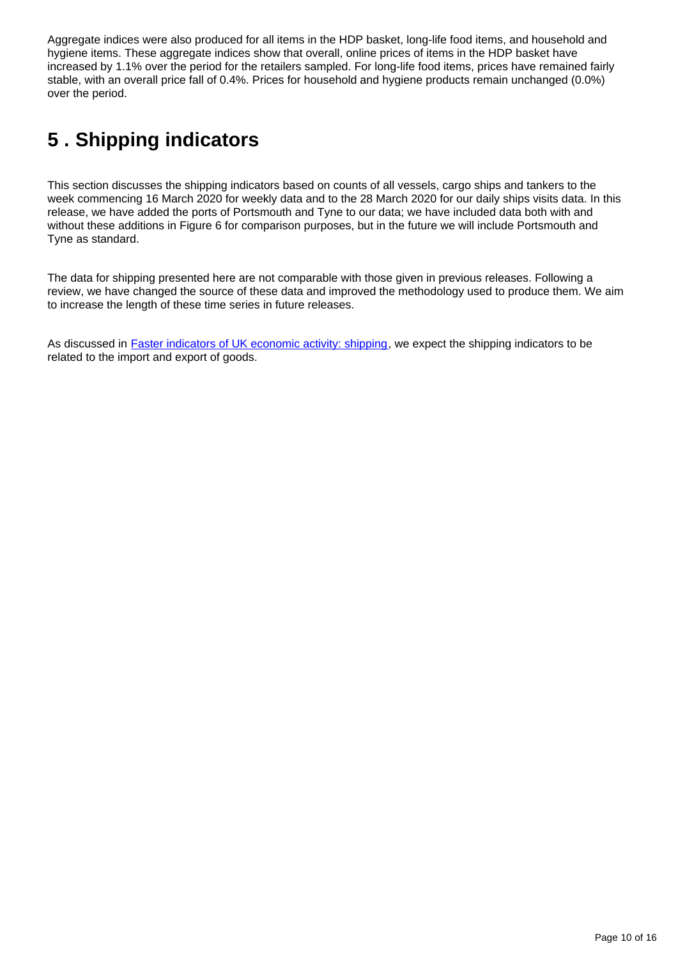Aggregate indices were also produced for all items in the HDP basket, long-life food items, and household and hygiene items. These aggregate indices show that overall, online prices of items in the HDP basket have increased by 1.1% over the period for the retailers sampled. For long-life food items, prices have remained fairly stable, with an overall price fall of 0.4%. Prices for household and hygiene products remain unchanged (0.0%) over the period.

# <span id="page-9-0"></span>**5 . Shipping indicators**

This section discusses the shipping indicators based on counts of all vessels, cargo ships and tankers to the week commencing 16 March 2020 for weekly data and to the 28 March 2020 for our daily ships visits data. In this release, we have added the ports of Portsmouth and Tyne to our data; we have included data both with and without these additions in Figure 6 for comparison purposes, but in the future we will include Portsmouth and Tyne as standard.

The data for shipping presented here are not comparable with those given in previous releases. Following a review, we have changed the source of these data and improved the methodology used to produce them. We aim to increase the length of these time series in future releases.

As discussed in [Faster indicators of UK economic activity: shipping](https://datasciencecampus.ons.gov.uk/projects/faster-indicators-of-uk-economic-activity-shipping/), we expect the shipping indicators to be related to the import and export of goods.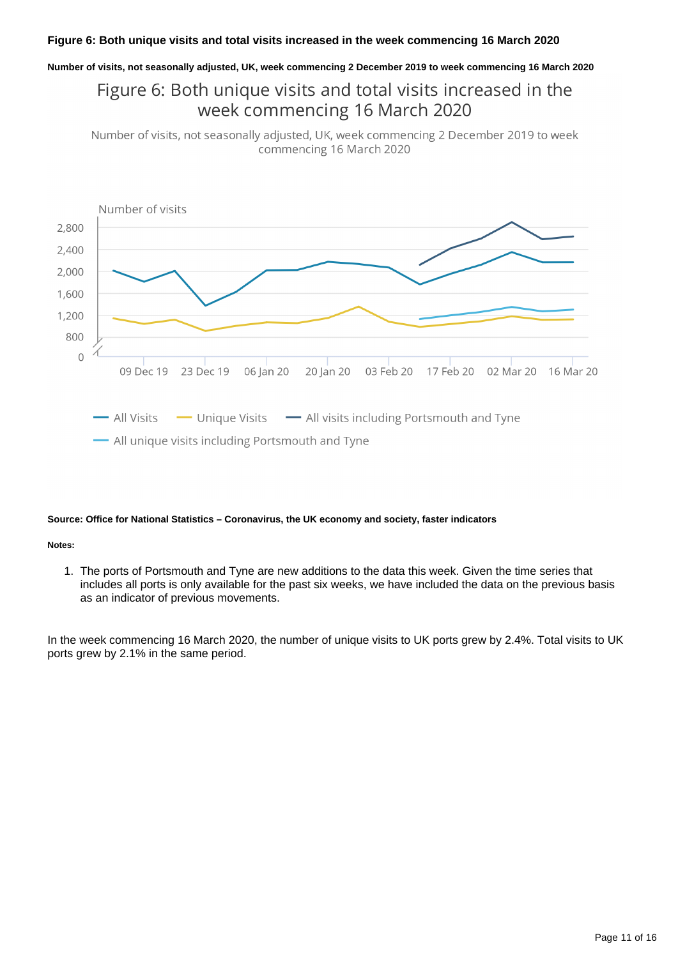### **Figure 6: Both unique visits and total visits increased in the week commencing 16 March 2020**

**Number of visits, not seasonally adjusted, UK, week commencing 2 December 2019 to week commencing 16 March 2020**

## Figure 6: Both unique visits and total visits increased in the week commencing 16 March 2020

Number of visits, not seasonally adjusted, UK, week commencing 2 December 2019 to week commencing 16 March 2020



#### **Source: Office for National Statistics – Coronavirus, the UK economy and society, faster indicators**

#### **Notes:**

1. The ports of Portsmouth and Tyne are new additions to the data this week. Given the time series that includes all ports is only available for the past six weeks, we have included the data on the previous basis as an indicator of previous movements.

In the week commencing 16 March 2020, the number of unique visits to UK ports grew by 2.4%. Total visits to UK ports grew by 2.1% in the same period.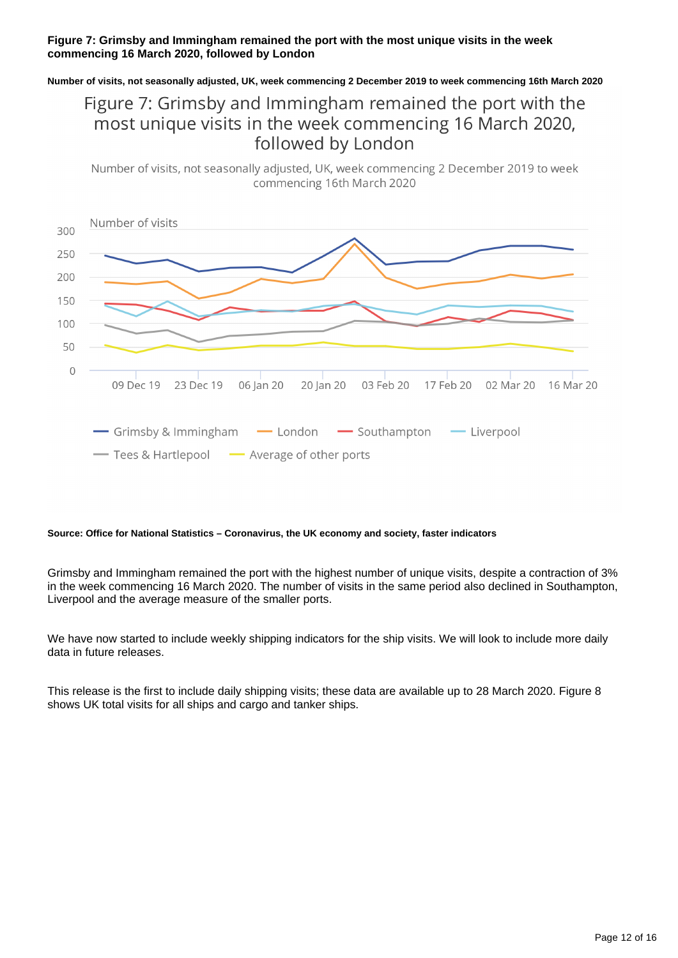### **Figure 7: Grimsby and Immingham remained the port with the most unique visits in the week commencing 16 March 2020, followed by London**

**Number of visits, not seasonally adjusted, UK, week commencing 2 December 2019 to week commencing 16th March 2020**

## Figure 7: Grimsby and Immingham remained the port with the most unique visits in the week commencing 16 March 2020, followed by London

Number of visits, not seasonally adjusted, UK, week commencing 2 December 2019 to week commencing 16th March 2020



#### **Source: Office for National Statistics – Coronavirus, the UK economy and society, faster indicators**

Grimsby and Immingham remained the port with the highest number of unique visits, despite a contraction of 3% in the week commencing 16 March 2020. The number of visits in the same period also declined in Southampton, Liverpool and the average measure of the smaller ports.

We have now started to include weekly shipping indicators for the ship visits. We will look to include more daily data in future releases.

This release is the first to include daily shipping visits; these data are available up to 28 March 2020. Figure 8 shows UK total visits for all ships and cargo and tanker ships.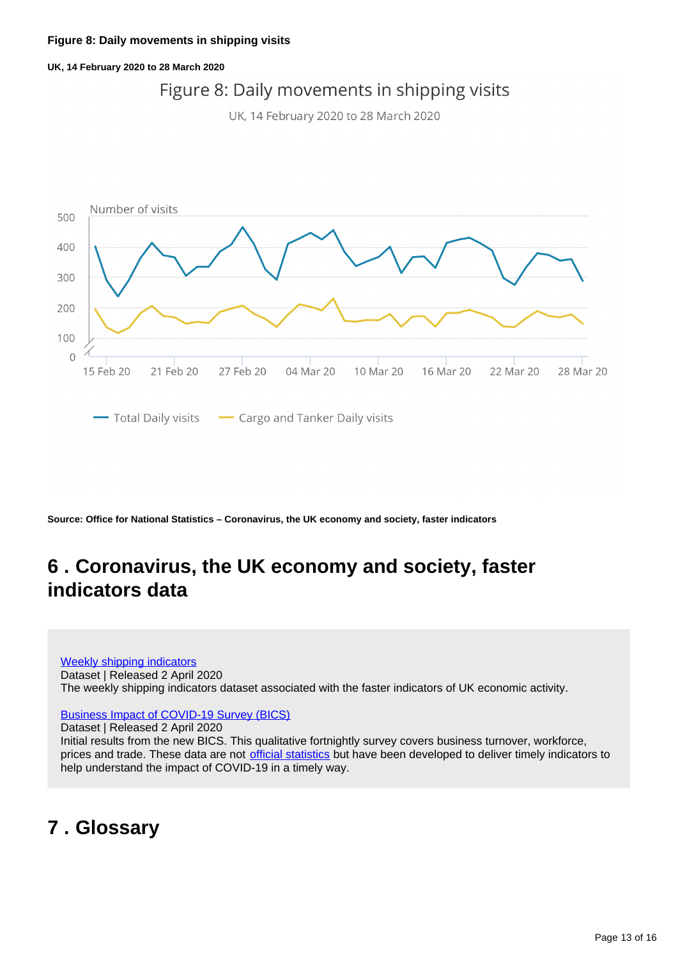### **UK, 14 February 2020 to 28 March 2020**

# Figure 8: Daily movements in shipping visits

UK, 14 February 2020 to 28 March 2020



**Source: Office for National Statistics – Coronavirus, the UK economy and society, faster indicators**

# <span id="page-12-0"></span>**6 . Coronavirus, the UK economy and society, faster indicators data**

[Weekly shipping indicators](https://www.ons.gov.uk/economy/economicoutputandproductivity/output/datasets/weeklyshippingindicators) Dataset | Released 2 April 2020 The weekly shipping indicators dataset associated with the faster indicators of UK economic activity.

### [Business Impact of COVID-19 Survey \(BICS\)](https://www.ons.gov.uk/economy/economicoutputandproductivity/output/datasets/businessimpactofcovid19surveybics)

Dataset | Released 2 April 2020 Initial results from the new BICS. This qualitative fortnightly survey covers business turnover, workforce, prices and trade. These data are not [official statistics](https://www.statisticsauthority.gov.uk/about-the-authority/uk-statistical-system/types-of-official-statistics/) but have been developed to deliver timely indicators to help understand the impact of COVID-19 in a timely way.

# <span id="page-12-1"></span>**7 . Glossary**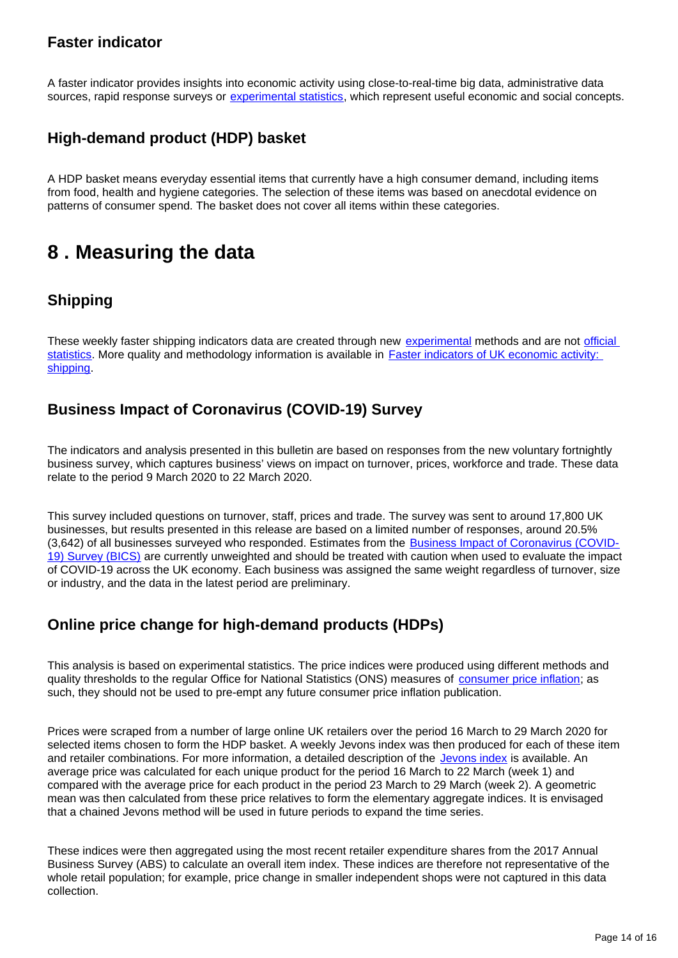### **Faster indicator**

A faster indicator provides insights into economic activity using close-to-real-time big data, administrative data sources, rapid response surveys or [experimental statistics,](https://www.ons.gov.uk/methodology/methodologytopicsandstatisticalconcepts/guidetoexperimentalstatistics) which represent useful economic and social concepts.

### **High-demand product (HDP) basket**

A HDP basket means everyday essential items that currently have a high consumer demand, including items from food, health and hygiene categories. The selection of these items was based on anecdotal evidence on patterns of consumer spend. The basket does not cover all items within these categories.

# <span id="page-13-0"></span>**8 . Measuring the data**

## **Shipping**

These weekly faster shipping indicators data are created through new [experimental](https://www.ons.gov.uk/methodology/methodologytopicsandstatisticalconcepts/guidetoexperimentalstatistics) methods and are not [official](https://www.statisticsauthority.gov.uk/about-the-authority/uk-statistical-system/types-of-official-statistics/)  [statistics.](https://www.statisticsauthority.gov.uk/about-the-authority/uk-statistical-system/types-of-official-statistics/) More quality and methodology information is available in Faster indicators of UK economic activity: [shipping](https://datasciencecampus.ons.gov.uk/projects/faster-indicators-of-uk-economic-activity-shipping/).

### **Business Impact of Coronavirus (COVID-19) Survey**

The indicators and analysis presented in this bulletin are based on responses from the new voluntary fortnightly business survey, which captures business' views on impact on turnover, prices, workforce and trade. These data relate to the period 9 March 2020 to 22 March 2020.

This survey included questions on turnover, staff, prices and trade. The survey was sent to around 17,800 UK businesses, but results presented in this release are based on a limited number of responses, around 20.5% (3,642) of all businesses surveyed who responded. Estimates from the **[Business Impact of Coronavirus \(COVID-](https://www.ons.gov.uk/surveys/informationforbusinesses/businesssurveys/businessimpactofcoronaviruscovid19survey)**[19\) Survey \(BICS\)](https://www.ons.gov.uk/surveys/informationforbusinesses/businesssurveys/businessimpactofcoronaviruscovid19survey) are currently unweighted and should be treated with caution when used to evaluate the impact of COVID-19 across the UK economy. Each business was assigned the same weight regardless of turnover, size or industry, and the data in the latest period are preliminary.

### **Online price change for high-demand products (HDPs)**

This analysis is based on experimental statistics. The price indices were produced using different methods and quality thresholds to the regular Office for National Statistics (ONS) measures of [consumer price inflation;](https://www.ons.gov.uk/economy/inflationandpriceindices/bulletins/consumerpriceinflation/february2020) as such, they should not be used to pre-empt any future consumer price inflation publication.

Prices were scraped from a number of large online UK retailers over the period 16 March to 29 March 2020 for selected items chosen to form the HDP basket. A weekly Jevons index was then produced for each of these item and retailer combinations. For more information, a detailed description of the [Jevons index](https://www.statisticsauthority.gov.uk/wp-content/uploads/2016/04/Elementary-aggregate-formula-description-action-2.pdf) is available. An average price was calculated for each unique product for the period 16 March to 22 March (week 1) and compared with the average price for each product in the period 23 March to 29 March (week 2). A geometric mean was then calculated from these price relatives to form the elementary aggregate indices. It is envisaged that a chained Jevons method will be used in future periods to expand the time series.

These indices were then aggregated using the most recent retailer expenditure shares from the 2017 Annual Business Survey (ABS) to calculate an overall item index. These indices are therefore not representative of the whole retail population; for example, price change in smaller independent shops were not captured in this data collection.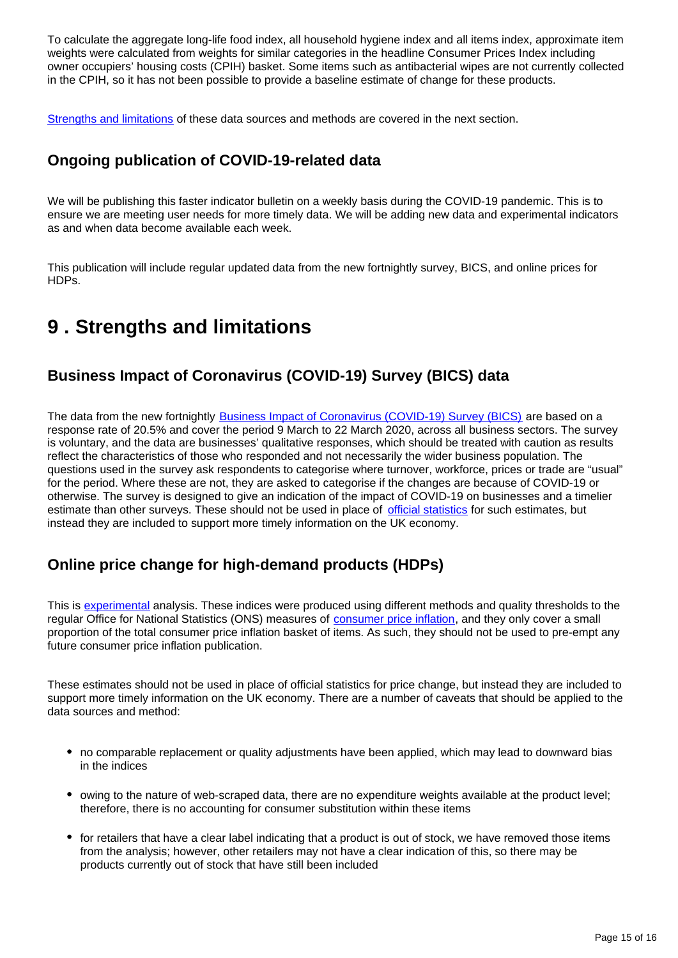To calculate the aggregate long-life food index, all household hygiene index and all items index, approximate item weights were calculated from weights for similar categories in the headline Consumer Prices Index including owner occupiers' housing costs (CPIH) basket. Some items such as antibacterial wipes are not currently collected in the CPIH, so it has not been possible to provide a baseline estimate of change for these products.

[Strengths and limitations](https://www.ons.gov.uk/peoplepopulationandcommunity/healthandsocialcare/conditionsanddiseases/bulletins/coronavirustheukeconomyandsocietyfasterindicators/dataasat2april2020#strengths-and-limitations) of these data sources and methods are covered in the next section.

### **Ongoing publication of COVID-19-related data**

We will be publishing this faster indicator bulletin on a weekly basis during the COVID-19 pandemic. This is to ensure we are meeting user needs for more timely data. We will be adding new data and experimental indicators as and when data become available each week.

This publication will include regular updated data from the new fortnightly survey, BICS, and online prices for HDPs.

# <span id="page-14-0"></span>**9 . Strengths and limitations**

### **Business Impact of Coronavirus (COVID-19) Survey (BICS) data**

The data from the new fortnightly **[Business Impact of Coronavirus \(COVID-19\) Survey \(BICS\)](https://www.ons.gov.uk/surveys/informationforbusinesses/businesssurveys/businessimpactofcoronaviruscovid19survey)** are based on a response rate of 20.5% and cover the period 9 March to 22 March 2020, across all business sectors. The survey is voluntary, and the data are businesses' qualitative responses, which should be treated with caution as results reflect the characteristics of those who responded and not necessarily the wider business population. The questions used in the survey ask respondents to categorise where turnover, workforce, prices or trade are "usual" for the period. Where these are not, they are asked to categorise if the changes are because of COVID-19 or otherwise. The survey is designed to give an indication of the impact of COVID-19 on businesses and a timelier estimate than other surveys. These should not be used in place of [official statistics](https://www.statisticsauthority.gov.uk/about-the-authority/uk-statistical-system/types-of-official-statistics/) for such estimates, but instead they are included to support more timely information on the UK economy.

### **Online price change for high-demand products (HDPs)**

This is [experimental](https://www.ons.gov.uk/methodology/methodologytopicsandstatisticalconcepts/guidetoexperimentalstatistics) analysis. These indices were produced using different methods and quality thresholds to the regular Office for National Statistics (ONS) measures of [consumer price inflation,](https://www.ons.gov.uk/economy/inflationandpriceindices/bulletins/consumerpriceinflation/february2020) and they only cover a small proportion of the total consumer price inflation basket of items. As such, they should not be used to pre-empt any future consumer price inflation publication.

These estimates should not be used in place of official statistics for price change, but instead they are included to support more timely information on the UK economy. There are a number of caveats that should be applied to the data sources and method:

- no comparable replacement or quality adjustments have been applied, which may lead to downward bias in the indices
- owing to the nature of web-scraped data, there are no expenditure weights available at the product level; therefore, there is no accounting for consumer substitution within these items
- for retailers that have a clear label indicating that a product is out of stock, we have removed those items from the analysis; however, other retailers may not have a clear indication of this, so there may be products currently out of stock that have still been included